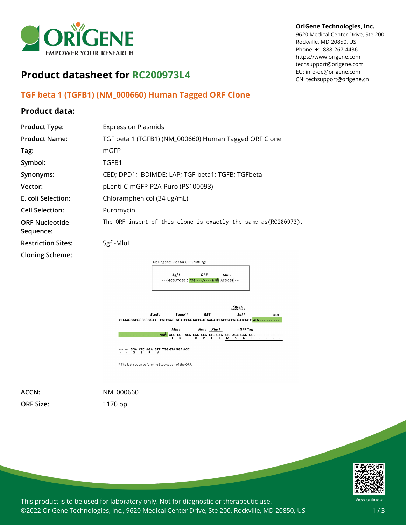

# **Product datasheet for RC200973L4**

# **TGF beta 1 (TGFB1) (NM\_000660) Human Tagged ORF Clone**

# **Product data:**

| <b>Product Type:</b>               | <b>Expression Plasmids</b>                                              |
|------------------------------------|-------------------------------------------------------------------------|
| <b>Product Name:</b>               | TGF beta 1 (TGFB1) (NM_000660) Human Tagged ORF Clone                   |
| Tag:                               | mGFP                                                                    |
| Symbol:                            | TGFB1                                                                   |
| Synonyms:                          | CED; DPD1; IBDIMDE; LAP; TGF-beta1; TGFB; TGFbeta                       |
| Vector:                            | pLenti-C-mGFP-P2A-Puro (PS100093)                                       |
| E. coli Selection:                 | Chloramphenicol (34 ug/mL)                                              |
| <b>Cell Selection:</b>             | Puromycin                                                               |
| <b>ORF Nucleotide</b><br>Sequence: | The ORF insert of this clone is exactly the same as(RC200973).          |
| <b>Restriction Sites:</b>          | Sgfl-Mlul                                                               |
| <b>Cloning Scheme:</b>             |                                                                         |
|                                    | Cloning sites used for ORF Shuttling:                                   |
|                                    | ORF<br>Saf I<br>Mlu I<br>--- GCG ATC GCC ATG --- // --- NNN ACG CGT --- |



\* The last codon before the Stop codon of the ORF.

**ORF Size:** 1170 bp

**ACCN:** NM\_000660



#### **OriGene Technologies, Inc.**

9620 Medical Center Drive, Ste 200 Rockville, MD 20850, US Phone: +1-888-267-4436 https://www.origene.com techsupport@origene.com EU: info-de@origene.com CN: techsupport@origene.cn

View online »

This product is to be used for laboratory only. Not for diagnostic or therapeutic use. ©2022 OriGene Technologies, Inc., 9620 Medical Center Drive, Ste 200, Rockville, MD 20850, US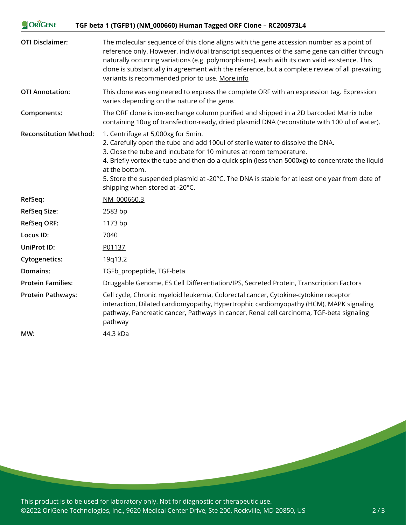| ORIGENE<br>TGF beta 1 (TGFB1) (NM_000660) Human Tagged ORF Clone - RC200973L4 |                                                                                                                                                                                                                                                                                                                                                                                                                                                     |
|-------------------------------------------------------------------------------|-----------------------------------------------------------------------------------------------------------------------------------------------------------------------------------------------------------------------------------------------------------------------------------------------------------------------------------------------------------------------------------------------------------------------------------------------------|
| <b>OTI Disclaimer:</b>                                                        | The molecular sequence of this clone aligns with the gene accession number as a point of<br>reference only. However, individual transcript sequences of the same gene can differ through<br>naturally occurring variations (e.g. polymorphisms), each with its own valid existence. This<br>clone is substantially in agreement with the reference, but a complete review of all prevailing<br>variants is recommended prior to use. More info      |
| <b>OTI Annotation:</b>                                                        | This clone was engineered to express the complete ORF with an expression tag. Expression<br>varies depending on the nature of the gene.                                                                                                                                                                                                                                                                                                             |
| Components:                                                                   | The ORF clone is ion-exchange column purified and shipped in a 2D barcoded Matrix tube<br>containing 10ug of transfection-ready, dried plasmid DNA (reconstitute with 100 ul of water).                                                                                                                                                                                                                                                             |
| <b>Reconstitution Method:</b>                                                 | 1. Centrifuge at 5,000xg for 5min.<br>2. Carefully open the tube and add 100ul of sterile water to dissolve the DNA.<br>3. Close the tube and incubate for 10 minutes at room temperature.<br>4. Briefly vortex the tube and then do a quick spin (less than 5000xg) to concentrate the liquid<br>at the bottom.<br>5. Store the suspended plasmid at -20°C. The DNA is stable for at least one year from date of<br>shipping when stored at -20°C. |
| RefSeq:                                                                       | NM 000660.3                                                                                                                                                                                                                                                                                                                                                                                                                                         |
| <b>RefSeq Size:</b>                                                           | 2583 bp                                                                                                                                                                                                                                                                                                                                                                                                                                             |
| <b>RefSeq ORF:</b>                                                            | 1173 bp                                                                                                                                                                                                                                                                                                                                                                                                                                             |
| Locus ID:                                                                     | 7040                                                                                                                                                                                                                                                                                                                                                                                                                                                |
| UniProt ID:                                                                   | P01137                                                                                                                                                                                                                                                                                                                                                                                                                                              |
| <b>Cytogenetics:</b>                                                          | 19q13.2                                                                                                                                                                                                                                                                                                                                                                                                                                             |
| Domains:                                                                      | TGFb_propeptide, TGF-beta                                                                                                                                                                                                                                                                                                                                                                                                                           |
| <b>Protein Families:</b>                                                      | Druggable Genome, ES Cell Differentiation/IPS, Secreted Protein, Transcription Factors                                                                                                                                                                                                                                                                                                                                                              |
| <b>Protein Pathways:</b>                                                      | Cell cycle, Chronic myeloid leukemia, Colorectal cancer, Cytokine-cytokine receptor<br>interaction, Dilated cardiomyopathy, Hypertrophic cardiomyopathy (HCM), MAPK signaling<br>pathway, Pancreatic cancer, Pathways in cancer, Renal cell carcinoma, TGF-beta signaling<br>pathway                                                                                                                                                                |
| MW:                                                                           | 44.3 kDa                                                                                                                                                                                                                                                                                                                                                                                                                                            |

This product is to be used for laboratory only. Not for diagnostic or therapeutic use. ©2022 OriGene Technologies, Inc., 9620 Medical Center Drive, Ste 200, Rockville, MD 20850, US